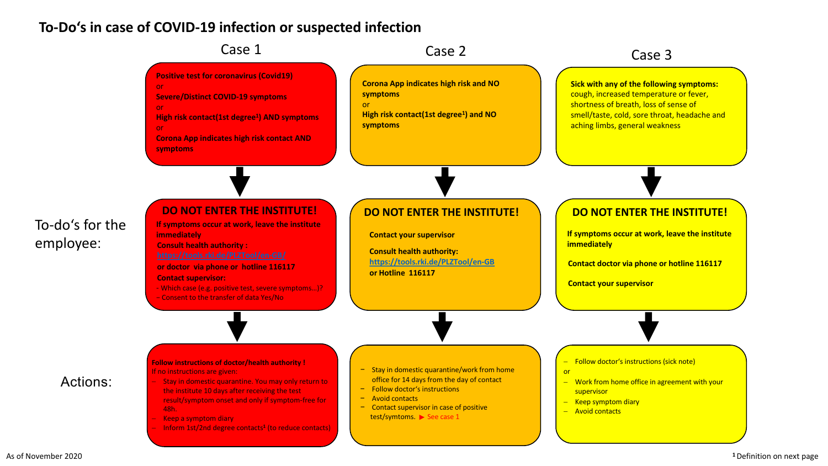## **To-Do's in case of COVID-19 infection or suspected infection**



As of November 2020 **<sup>1</sup>**Definition on next page